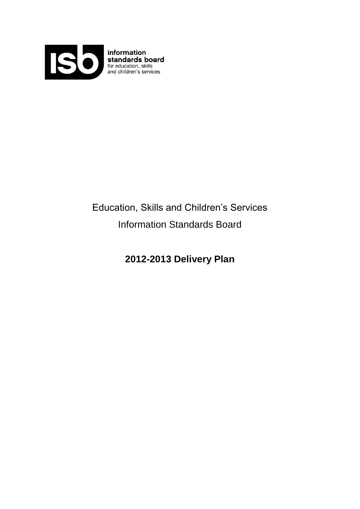

# Education, Skills and Children's Services Information Standards Board

**2012-2013 Delivery Plan**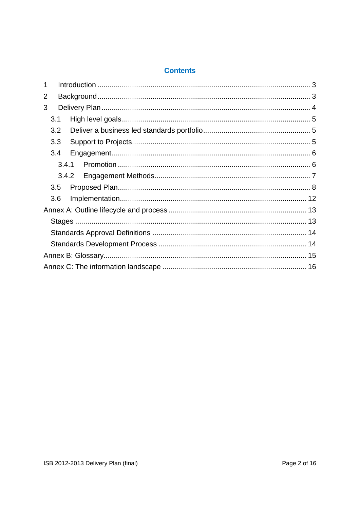## **Contents**

| 1              |  |
|----------------|--|
| $\overline{2}$ |  |
| 3              |  |
| 3.1            |  |
| 3.2            |  |
| 3.3            |  |
| 3.4            |  |
| 3.4.1          |  |
| 3.4.2          |  |
| 3.5            |  |
| 3.6            |  |
|                |  |
|                |  |
|                |  |
|                |  |
|                |  |
|                |  |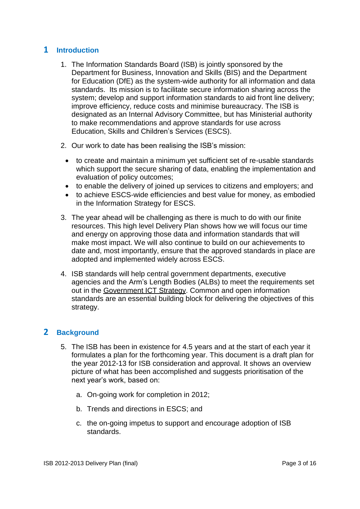# <span id="page-2-0"></span>**1 Introduction**

- 1. The Information Standards Board (ISB) is jointly sponsored by the Department for Business, Innovation and Skills (BIS) and the Department for Education (DfE) as the system-wide authority for all information and data standards. Its mission is to facilitate secure information sharing across the system; develop and support information standards to aid front line delivery; improve efficiency, reduce costs and minimise bureaucracy. The ISB is designated as an Internal Advisory Committee, but has Ministerial authority to make recommendations and approve standards for use across Education, Skills and Children"s Services (ESCS).
- 2. Our work to date has been realising the ISB"s mission:
	- to create and maintain a minimum yet sufficient set of re-usable standards which support the secure sharing of data, enabling the implementation and evaluation of policy outcomes;
	- to enable the delivery of joined up services to citizens and employers; and
	- to achieve ESCS-wide efficiencies and best value for money, as embodied in the Information Strategy for ESCS.
- 3. The year ahead will be challenging as there is much to do with our finite resources. This high level Delivery Plan shows how we will focus our time and energy on approving those data and information standards that will make most impact. We will also continue to build on our achievements to date and, most importantly, ensure that the approved standards in place are adopted and implemented widely across ESCS.
- 4. ISB standards will help central government departments, executive agencies and the Arm"s Length Bodies (ALBs) to meet the requirements set out in the [Government ICT Strategy.](https://www.gov.uk/government/collections/ict-strategy-resources) Common and open information standards are an essential building block for delivering the objectives of this strategy.

# <span id="page-2-1"></span>**2 Background**

- 5. The ISB has been in existence for 4.5 years and at the start of each year it formulates a plan for the forthcoming year. This document is a draft plan for the year 2012-13 for ISB consideration and approval. It shows an overview picture of what has been accomplished and suggests prioritisation of the next year"s work, based on:
	- a. On-going work for completion in 2012;
	- b. Trends and directions in ESCS; and
	- c. the on-going impetus to support and encourage adoption of ISB standards.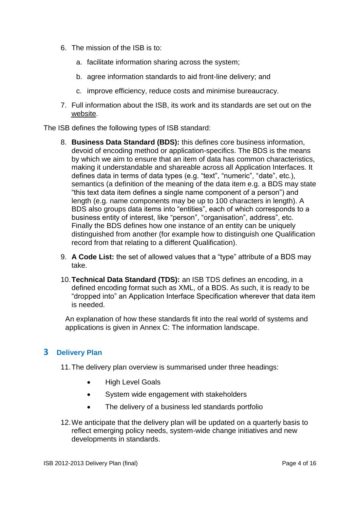- 6. The mission of the ISB is to:
	- a. facilitate information sharing across the system;
	- b. agree information standards to aid front-line delivery; and
	- c. improve efficiency, reduce costs and minimise bureaucracy.
- 7. Full information about the ISB, its work and its standards are set out on the [website](http://data.gov.uk/education-standards/).

The ISB defines the following types of ISB standard:

- 8. **Business Data Standard (BDS):** this defines core business information, devoid of encoding method or application-specifics. The BDS is the means by which we aim to ensure that an item of data has common characteristics, making it understandable and shareable across all Application Interfaces. It defines data in terms of data types (e.g. "text", "numeric", "date", etc.), semantics (a definition of the meaning of the data item e.g. a BDS may state "this text data item defines a single name component of a person") and length (e.g. name components may be up to 100 characters in length). A BDS also groups data items into "entities", each of which corresponds to a business entity of interest, like "person", "organisation", address", etc. Finally the BDS defines how one instance of an entity can be uniquely distinguished from another (for example how to distinguish one Qualification record from that relating to a different Qualification).
- 9. **A Code List:** the set of allowed values that a "type" attribute of a BDS may take.
- 10.**Technical Data Standard (TDS):** an ISB TDS defines an encoding, in a defined encoding format such as XML, of a BDS. As such, it is ready to be "dropped into" an Application Interface Specification wherever that data item is needed.

An explanation of how these standards fit into the real world of systems and applications is given in [Annex C: The information landscape.](#page-15-0)

# <span id="page-3-0"></span>**3 Delivery Plan**

11.The delivery plan overview is summarised under three headings:

- High Level Goals
- System wide engagement with stakeholders
- The delivery of a business led standards portfolio
- 12.We anticipate that the delivery plan will be updated on a quarterly basis to reflect emerging policy needs, system-wide change initiatives and new developments in standards.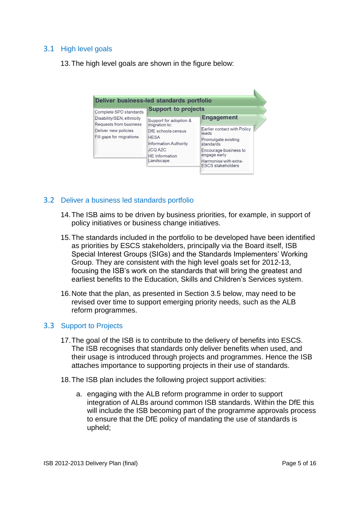# <span id="page-4-0"></span>3.1 High level goals

13.The high level goals are shown in the figure below:

| Deliver business-led standards portfolio                                   |                                                                                                                                            |                                                                                                                                                                        |
|----------------------------------------------------------------------------|--------------------------------------------------------------------------------------------------------------------------------------------|------------------------------------------------------------------------------------------------------------------------------------------------------------------------|
| Complete SPD standards<br>Disability/SEN, ethnicity                        | <b>Support to projects</b><br>Support for adoption &                                                                                       | <b>Engagement</b>                                                                                                                                                      |
| Requests from business<br>Deliver new policies<br>Fill gaps for migrations | migration to:<br>DfF schools census<br><b>HESA</b><br><b>Information Authority</b><br><b>JCQ A2C</b><br><b>HE</b> Information<br>Landscape | Earlier contact with Policy<br>leads<br>Promulgate existing<br>standards<br>Encourage business to<br>engage early<br>Harmonise with extra-<br><b>ESCS</b> stakeholders |

#### <span id="page-4-1"></span>3.2 Deliver a business led standards portfolio

- 14.The ISB aims to be driven by business priorities, for example, in support of policy initiatives or business change initiatives.
- 15.The standards included in the portfolio to be developed have been identified as priorities by ESCS stakeholders, principally via the Board itself, ISB Special Interest Groups (SIGs) and the Standards Implementers" Working Group. They are consistent with the high level goals set for 2012-13, focusing the ISB"s work on the standards that will bring the greatest and earliest benefits to the Education, Skills and Children's Services system.
- 16.Note that the plan, as presented in Section [3.5 below,](#page-7-0) may need to be revised over time to support emerging priority needs, such as the ALB reform programmes.

#### <span id="page-4-2"></span>3.3 Support to Projects

- 17.The goal of the ISB is to contribute to the delivery of benefits into ESCS. The ISB recognises that standards only deliver benefits when used, and their usage is introduced through projects and programmes. Hence the ISB attaches importance to supporting projects in their use of standards.
- 18.The ISB plan includes the following project support activities:
	- a. engaging with the ALB reform programme in order to support integration of ALBs around common ISB standards. Within the DfE this will include the ISB becoming part of the programme approvals process to ensure that the DfE policy of mandating the use of standards is upheld;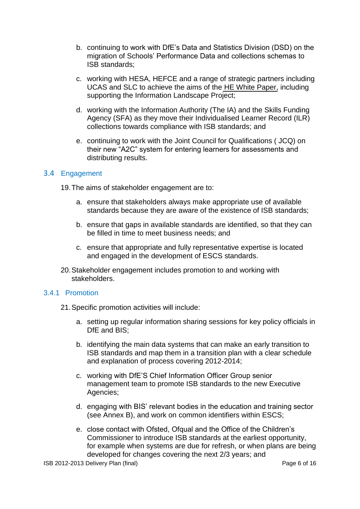- b. continuing to work with DfE"s Data and Statistics Division (DSD) on the migration of Schools" Performance Data and collections schemas to ISB standards;
- c. working with HESA, HEFCE and a range of strategic partners including UCAS and SLC to achieve the aims of the [HE White Paper,](https://www.gov.uk/government/uploads/system/uploads/attachment_data/file/32409/11-944-higher-education-students-at-heart-of-system.pdf) including supporting the Information Landscape Project;
- d. working with the Information Authority (The IA) and the Skills Funding Agency (SFA) as they move their Individualised Learner Record (ILR) collections towards compliance with ISB standards; and
- e. continuing to work with the Joint Council for Qualifications ( JCQ) on their new "A2C" system for entering learners for assessments and distributing results.

#### <span id="page-5-0"></span>3.4 Engagement

19.The aims of stakeholder engagement are to:

- a. ensure that stakeholders always make appropriate use of available standards because they are aware of the existence of ISB standards;
- b. ensure that gaps in available standards are identified, so that they can be filled in time to meet business needs; and
- c. ensure that appropriate and fully representative expertise is located and engaged in the development of ESCS standards.
- 20.Stakeholder engagement includes promotion to and working with stakeholders.

#### <span id="page-5-1"></span>3.4.1 Promotion

- 21.Specific promotion activities will include:
	- a. setting up regular information sharing sessions for key policy officials in DfE and BIS:
	- b. identifying the main data systems that can make an early transition to ISB standards and map them in a transition plan with a clear schedule and explanation of process covering 2012-2014;
	- c. working with DfE"S Chief Information Officer Group senior management team to promote ISB standards to the new Executive Agencies;
	- d. engaging with BIS" relevant bodies in the education and training sector (see Annex B), and work on common identifiers within ESCS;
	- e. close contact with Ofsted, Ofqual and the Office of the Children"s Commissioner to introduce ISB standards at the earliest opportunity, for example when systems are due for refresh, or when plans are being developed for changes covering the next 2/3 years; and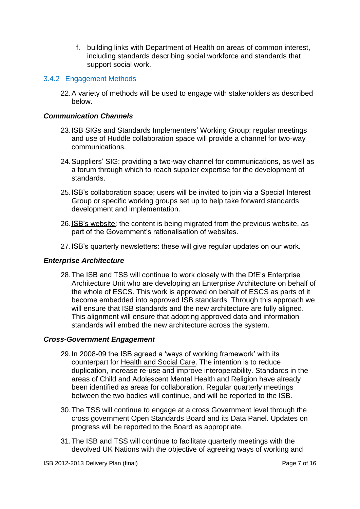f. building links with Department of Health on areas of common interest, including standards describing social workforce and standards that support social work.

#### <span id="page-6-0"></span>3.4.2 Engagement Methods

22.A variety of methods will be used to engage with stakeholders as described below.

#### *Communication Channels*

- 23.ISB SIGs and Standards Implementers" Working Group; regular meetings and use of Huddle collaboration space will provide a channel for two-way communications.
- 24.Suppliers" SIG; providing a two-way channel for communications, as well as a forum through which to reach supplier expertise for the development of standards.
- 25.ISB"s collaboration space; users will be invited to join via a Special Interest Group or specific working groups set up to help take forward standards development and implementation.
- 26.[ISB"s website:](http://data.gov.uk/education-standards/) the content is being migrated from the previous website, as part of the Government's rationalisation of websites.
- 27.ISB"s quarterly newsletters: these will give regular updates on our work.

#### *Enterprise Architecture*

28.The ISB and TSS will continue to work closely with the DfE"s Enterprise Architecture Unit who are developing an Enterprise Architecture on behalf of the whole of ESCS. This work is approved on behalf of ESCS as parts of it become embedded into approved ISB standards. Through this approach we will ensure that ISB standards and the new architecture are fully aligned. This alignment will ensure that adopting approved data and information standards will embed the new architecture across the system.

#### *Cross-Government Engagement*

- 29.In 2008-09 the ISB agreed a "ways of working framework" with its counterpart for [Health and Social Care.](http://www.isb.nhs.uk/) The intention is to reduce duplication, increase re-use and improve interoperability. Standards in the areas of Child and Adolescent Mental Health and Religion have already been identified as areas for collaboration. Regular quarterly meetings between the two bodies will continue, and will be reported to the ISB.
- 30.The TSS will continue to engage at a cross Government level through the cross government Open Standards Board and its Data Panel. Updates on progress will be reported to the Board as appropriate.
- 31.The ISB and TSS will continue to facilitate quarterly meetings with the devolved UK Nations with the objective of agreeing ways of working and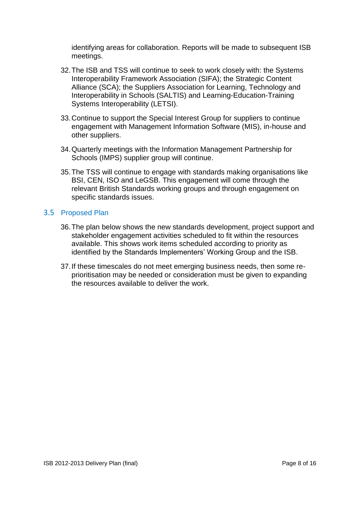identifying areas for collaboration. Reports will be made to subsequent ISB meetings.

- 32.The ISB and TSS will continue to seek to work closely with: the Systems Interoperability Framework Association (SIFA); the Strategic Content Alliance (SCA); the Suppliers Association for Learning, Technology and Interoperability in Schools (SALTIS) and Learning-Education-Training Systems Interoperability (LETSI).
- 33.Continue to support the Special Interest Group for suppliers to continue engagement with Management Information Software (MIS), in-house and other suppliers.
- 34.Quarterly meetings with the Information Management Partnership for Schools (IMPS) supplier group will continue.
- 35.The TSS will continue to engage with standards making organisations like BSI, CEN, ISO and LeGSB. This engagement will come through the relevant British Standards working groups and through engagement on specific standards issues.

#### <span id="page-7-0"></span>3.5 Proposed Plan

- 36.The plan below shows the new standards development, project support and stakeholder engagement activities scheduled to fit within the resources available. This shows work items scheduled according to priority as identified by the Standards Implementers' Working Group and the ISB.
- 37.If these timescales do not meet emerging business needs, then some reprioritisation may be needed or consideration must be given to expanding the resources available to deliver the work.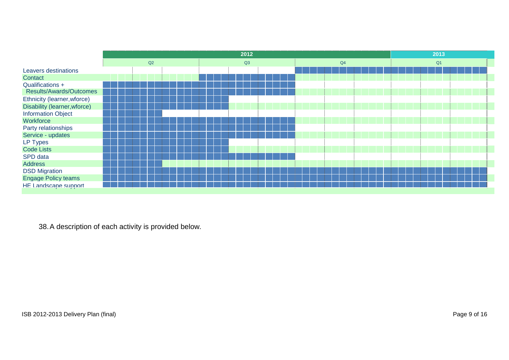|                              | 2012 |    |  |  |  |    |  |  |  | 2013 |                |  |  |  |  |  |  |  |  |  |  |
|------------------------------|------|----|--|--|--|----|--|--|--|------|----------------|--|--|--|--|--|--|--|--|--|--|
|                              |      | Q2 |  |  |  | Q3 |  |  |  |      | Q <sub>1</sub> |  |  |  |  |  |  |  |  |  |  |
| Leavers destinations         |      |    |  |  |  |    |  |  |  |      |                |  |  |  |  |  |  |  |  |  |  |
| Contact                      |      |    |  |  |  |    |  |  |  |      |                |  |  |  |  |  |  |  |  |  |  |
| Qualifications +             |      |    |  |  |  |    |  |  |  |      |                |  |  |  |  |  |  |  |  |  |  |
| Results/Awards/Outcomes      |      |    |  |  |  |    |  |  |  |      |                |  |  |  |  |  |  |  |  |  |  |
| Ethnicity (learner, wforce)  |      |    |  |  |  |    |  |  |  |      |                |  |  |  |  |  |  |  |  |  |  |
| Disability (learner, wforce) |      |    |  |  |  |    |  |  |  |      |                |  |  |  |  |  |  |  |  |  |  |
| <b>Information Object</b>    |      |    |  |  |  |    |  |  |  |      |                |  |  |  |  |  |  |  |  |  |  |
| Workforce                    |      |    |  |  |  |    |  |  |  |      |                |  |  |  |  |  |  |  |  |  |  |
| Party relationships          |      |    |  |  |  |    |  |  |  |      |                |  |  |  |  |  |  |  |  |  |  |
| Service - updates            |      |    |  |  |  |    |  |  |  |      |                |  |  |  |  |  |  |  |  |  |  |
| <b>LP Types</b>              |      |    |  |  |  |    |  |  |  |      |                |  |  |  |  |  |  |  |  |  |  |
| <b>Code Lists</b>            |      |    |  |  |  |    |  |  |  |      |                |  |  |  |  |  |  |  |  |  |  |
| SPD data                     |      |    |  |  |  |    |  |  |  |      |                |  |  |  |  |  |  |  |  |  |  |
| <b>Address</b>               |      |    |  |  |  |    |  |  |  |      |                |  |  |  |  |  |  |  |  |  |  |
| <b>DSD Migration</b>         |      |    |  |  |  |    |  |  |  |      |                |  |  |  |  |  |  |  |  |  |  |
| <b>Engage Policy teams</b>   |      |    |  |  |  |    |  |  |  |      |                |  |  |  |  |  |  |  |  |  |  |
| HE Landscape support         |      |    |  |  |  |    |  |  |  |      |                |  |  |  |  |  |  |  |  |  |  |
|                              |      |    |  |  |  |    |  |  |  |      |                |  |  |  |  |  |  |  |  |  |  |

38.A description of each activity is provided below.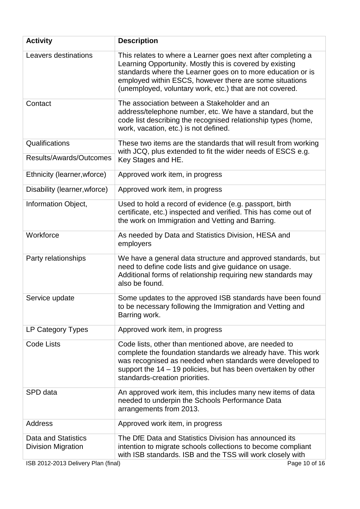| <b>Activity</b>                                                                         | <b>Description</b>                                                                                                                                                                                                                                                                                             |
|-----------------------------------------------------------------------------------------|----------------------------------------------------------------------------------------------------------------------------------------------------------------------------------------------------------------------------------------------------------------------------------------------------------------|
| Leavers destinations                                                                    | This relates to where a Learner goes next after completing a<br>Learning Opportunity. Mostly this is covered by existing<br>standards where the Learner goes on to more education or is<br>employed within ESCS, however there are some situations<br>(unemployed, voluntary work, etc.) that are not covered. |
| Contact                                                                                 | The association between a Stakeholder and an<br>address/telephone number, etc. We have a standard, but the<br>code list describing the recognised relationship types (home,<br>work, vacation, etc.) is not defined.                                                                                           |
| Qualifications                                                                          | These two items are the standards that will result from working<br>with JCQ, plus extended to fit the wider needs of ESCS e.g.                                                                                                                                                                                 |
| Results/Awards/Outcomes                                                                 | Key Stages and HE.                                                                                                                                                                                                                                                                                             |
| Ethnicity (learner, wforce)                                                             | Approved work item, in progress                                                                                                                                                                                                                                                                                |
| Disability (learner, wforce)                                                            | Approved work item, in progress                                                                                                                                                                                                                                                                                |
| Information Object,                                                                     | Used to hold a record of evidence (e.g. passport, birth<br>certificate, etc.) inspected and verified. This has come out of<br>the work on Immigration and Vetting and Barring.                                                                                                                                 |
| Workforce                                                                               | As needed by Data and Statistics Division, HESA and<br>employers                                                                                                                                                                                                                                               |
| Party relationships                                                                     | We have a general data structure and approved standards, but<br>need to define code lists and give guidance on usage.<br>Additional forms of relationship requiring new standards may<br>also be found.                                                                                                        |
| Service update                                                                          | Some updates to the approved ISB standards have been found<br>to be necessary following the Immigration and Vetting and<br>Barring work.                                                                                                                                                                       |
| LP Category Types                                                                       | Approved work item, in progress                                                                                                                                                                                                                                                                                |
| <b>Code Lists</b>                                                                       | Code lists, other than mentioned above, are needed to<br>complete the foundation standards we already have. This work<br>was recognised as needed when standards were developed to<br>support the 14 – 19 policies, but has been overtaken by other<br>standards-creation priorities.                          |
| SPD data                                                                                | An approved work item, this includes many new items of data<br>needed to underpin the Schools Performance Data<br>arrangements from 2013.                                                                                                                                                                      |
| <b>Address</b>                                                                          | Approved work item, in progress                                                                                                                                                                                                                                                                                |
| Data and Statistics<br><b>Division Migration</b><br>ISB 2012-2013 Delivery Plan (final) | The DfE Data and Statistics Division has announced its<br>intention to migrate schools collections to become compliant<br>with ISB standards. ISB and the TSS will work closely with<br>Page 10 of 16                                                                                                          |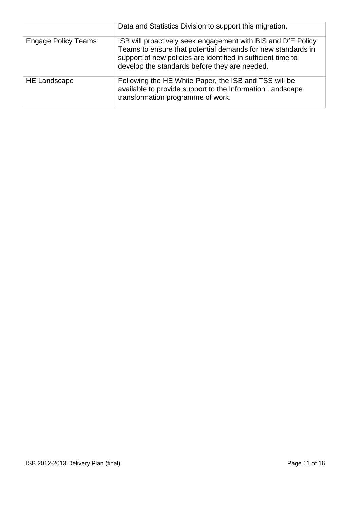|                            | Data and Statistics Division to support this migration.                                                                                                                                                                                      |
|----------------------------|----------------------------------------------------------------------------------------------------------------------------------------------------------------------------------------------------------------------------------------------|
| <b>Engage Policy Teams</b> | ISB will proactively seek engagement with BIS and DfE Policy<br>Teams to ensure that potential demands for new standards in<br>support of new policies are identified in sufficient time to<br>develop the standards before they are needed. |
| <b>HE Landscape</b>        | Following the HE White Paper, the ISB and TSS will be<br>available to provide support to the Information Landscape<br>transformation programme of work.                                                                                      |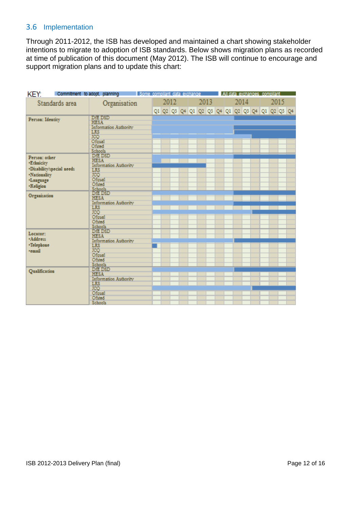# <span id="page-11-0"></span>3.6 Implementation

Through 2011-2012, the ISB has developed and maintained a chart showing stakeholder intentions to migrate to adoption of ISB standards. Below shows migration plans as recorded at time of publication of this document (May 2012). The ISB will continue to encourage and support migration plans and to update this chart:

| KEY:             |                                      | Commitment to adopt, planning and Some compliant data exchange |  |      |  |      |  |      | All data exchanges compliant                    |  |      |  |
|------------------|--------------------------------------|----------------------------------------------------------------|--|------|--|------|--|------|-------------------------------------------------|--|------|--|
|                  | Standards area                       | Organisation                                                   |  | 2012 |  | 2013 |  | 2014 |                                                 |  | 2015 |  |
|                  |                                      |                                                                |  |      |  |      |  |      | 01 02 03 04 01 02 03 04 01 02 03 04 01 02 03 04 |  |      |  |
| Person: Identity |                                      | DFE DSD                                                        |  |      |  |      |  |      |                                                 |  |      |  |
|                  |                                      | <b>HESA</b><br>Information Authority                           |  |      |  |      |  |      |                                                 |  |      |  |
|                  |                                      | LRS                                                            |  |      |  |      |  |      |                                                 |  |      |  |
|                  |                                      | TCO<br>Ofqual                                                  |  |      |  |      |  |      |                                                 |  |      |  |
|                  |                                      |                                                                |  |      |  |      |  |      |                                                 |  |      |  |
|                  |                                      | Ofsted                                                         |  |      |  |      |  |      |                                                 |  |      |  |
|                  |                                      | Schools<br>DfE DSD                                             |  |      |  |      |  |      |                                                 |  |      |  |
| Person: other    |                                      | <b>HESA</b>                                                    |  |      |  |      |  |      |                                                 |  |      |  |
| <b>Ethnicity</b> |                                      | Information Authority                                          |  |      |  |      |  |      |                                                 |  |      |  |
|                  | ·Disability/special needs            | LRS                                                            |  |      |  |      |  |      |                                                 |  |      |  |
| ·Nationality     |                                      | <b>ICO</b><br>Ofoual                                           |  |      |  |      |  |      |                                                 |  |      |  |
| ·Language        |                                      | Ofsted                                                         |  |      |  |      |  |      |                                                 |  |      |  |
| ·Religion        |                                      | Schools<br>DfE DSD                                             |  |      |  |      |  |      |                                                 |  |      |  |
| Organisation     |                                      |                                                                |  |      |  |      |  |      |                                                 |  |      |  |
|                  | <b>HESA</b><br>Information Authority |                                                                |  |      |  |      |  |      |                                                 |  |      |  |
|                  |                                      | LRS                                                            |  |      |  |      |  |      |                                                 |  |      |  |
|                  |                                      | <b>ICO</b>                                                     |  |      |  |      |  |      |                                                 |  |      |  |
|                  |                                      | Ofoual                                                         |  |      |  |      |  |      |                                                 |  |      |  |
|                  |                                      | Ofstod                                                         |  |      |  |      |  |      |                                                 |  |      |  |
|                  |                                      | Schools<br>D <sub>F</sub> E DSD                                |  |      |  |      |  |      |                                                 |  |      |  |
| Locator:         |                                      | <b>HESA</b>                                                    |  |      |  |      |  |      |                                                 |  |      |  |
| *Address         |                                      | Information Authority                                          |  |      |  |      |  |      |                                                 |  |      |  |
| ·Telephone       |                                      | LRS                                                            |  |      |  |      |  |      |                                                 |  |      |  |
| remail           |                                      | <b>ICQ</b><br>Ofoual                                           |  |      |  |      |  |      |                                                 |  |      |  |
|                  |                                      | Ofsted                                                         |  |      |  |      |  |      |                                                 |  |      |  |
|                  |                                      | Schools                                                        |  |      |  |      |  |      |                                                 |  |      |  |
| Qualification    |                                      | D <sub>f</sub> E D <sub>SD</sub>                               |  |      |  |      |  |      |                                                 |  |      |  |
|                  |                                      | <b>HESA</b>                                                    |  |      |  |      |  |      |                                                 |  |      |  |
|                  |                                      | Information Authority                                          |  |      |  |      |  |      |                                                 |  |      |  |
|                  |                                      | LRS<br>JCQ                                                     |  |      |  |      |  |      |                                                 |  |      |  |
|                  |                                      | Ofqual                                                         |  |      |  |      |  |      |                                                 |  |      |  |
|                  |                                      | Ofsted                                                         |  |      |  |      |  |      |                                                 |  |      |  |
|                  |                                      | Schools                                                        |  |      |  |      |  |      |                                                 |  |      |  |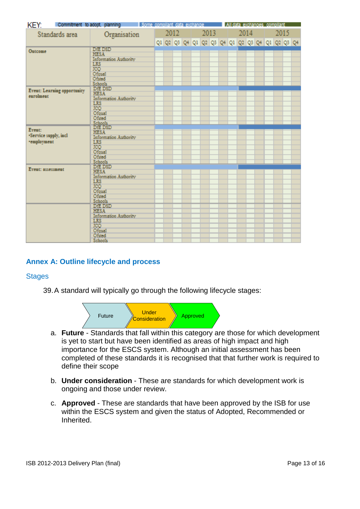|                                  |                             | KEY; Commitment to adopt, planning and isome compliant data exchange and All data exchanges compliant |  |      |  |                                                 |  |      |  |  |      |  |  |  |
|----------------------------------|-----------------------------|-------------------------------------------------------------------------------------------------------|--|------|--|-------------------------------------------------|--|------|--|--|------|--|--|--|
|                                  | Standards area              | Organisation                                                                                          |  | 2012 |  | 2013                                            |  | 2014 |  |  | 2015 |  |  |  |
|                                  |                             |                                                                                                       |  |      |  | 01 02 03 04 01 02 03 04 01 02 03 04 01 02 03 04 |  |      |  |  |      |  |  |  |
| Outcome                          |                             | DIE DSD<br><b>HESA</b><br>Information Authority                                                       |  |      |  |                                                 |  |      |  |  |      |  |  |  |
|                                  |                             | <b>LRS</b><br>ICQ                                                                                     |  |      |  |                                                 |  |      |  |  |      |  |  |  |
|                                  |                             | Ofoual<br>Ofsted                                                                                      |  |      |  |                                                 |  |      |  |  |      |  |  |  |
|                                  | Event: Learning opportunity | Schools<br>DFE DSD<br><b>HESA</b>                                                                     |  |      |  |                                                 |  |      |  |  |      |  |  |  |
| earchmeat                        |                             | Information Authority                                                                                 |  |      |  |                                                 |  |      |  |  |      |  |  |  |
|                                  |                             | $rac{\text{LRS}}{\text{ICQ}}$<br>Ofqual                                                               |  |      |  |                                                 |  |      |  |  |      |  |  |  |
|                                  |                             | Ofsted<br>Schools<br>DIE DSD                                                                          |  |      |  |                                                 |  |      |  |  |      |  |  |  |
| Event:<br>*Service supply, incl. |                             | <b>HESA</b><br>Information Authority                                                                  |  |      |  |                                                 |  |      |  |  |      |  |  |  |
| ·employment                      |                             | LRS <sup>1</sup><br>ICQ                                                                               |  |      |  |                                                 |  |      |  |  |      |  |  |  |
|                                  |                             | Ofoual<br>Ofsted<br>Schools                                                                           |  |      |  |                                                 |  |      |  |  |      |  |  |  |
| Event: assessment                |                             | DIE DSD<br><b>HESA</b>                                                                                |  |      |  |                                                 |  |      |  |  |      |  |  |  |
|                                  |                             | Information Authority<br><b>LRS</b>                                                                   |  |      |  |                                                 |  |      |  |  |      |  |  |  |
|                                  |                             | ICQ<br>Ofoual<br>Ofsted                                                                               |  |      |  |                                                 |  |      |  |  |      |  |  |  |
|                                  |                             | Schools<br>DFE DSD                                                                                    |  |      |  |                                                 |  |      |  |  |      |  |  |  |
|                                  |                             | <b>HESA</b><br>Information Authority                                                                  |  |      |  |                                                 |  |      |  |  |      |  |  |  |
|                                  |                             | $rac{\text{LRS}}{\text{ICQ}}$                                                                         |  |      |  |                                                 |  |      |  |  |      |  |  |  |
|                                  |                             | Ofqual<br>Ofsted<br>Schools                                                                           |  |      |  |                                                 |  |      |  |  |      |  |  |  |

# <span id="page-12-0"></span>**Annex A: Outline lifecycle and process**

#### <span id="page-12-1"></span>**Stages**

39.A standard will typically go through the following lifecycle stages:



- a. **Future**  Standards that fall within this category are those for which development is yet to start but have been identified as areas of high impact and high importance for the ESCS system. Although an initial assessment has been completed of these standards it is recognised that that further work is required to define their scope
- b. **Under consideration**  These are standards for which development work is ongoing and those under review.
- <span id="page-12-2"></span>c. **Approved** - These are standards that have been approved by the ISB for use within the ESCS system and given the status of Adopted, Recommended or Inherited.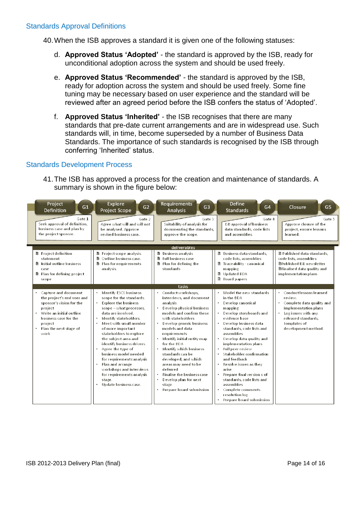40.When the ISB approves a standard it is given one of the following statuses:

- d. **Approved Status 'Adopted'** the standard is approved by the ISB, ready for unconditional adoption across the system and should be used freely.
- e. **Approved Status 'Recommended'** the standard is approved by the ISB, ready for adoption across the system and should be used freely. Some fine tuning may be necessary based on user experience and the standard will be reviewed after an agreed period before the ISB confers the status of "Adopted".
- f. **Approved Status 'Inherited'** the ISB recognises that there are many standards that pre-date current arrangements and are in widespread use. Such standards will, in time, become superseded by a number of Business Data Standards. The importance of such standards is recognised by the ISB through conferring "Inherited" status.

#### <span id="page-13-0"></span>Standards Development Process

41.The ISB has approved a process for the creation and maintenance of standards. A summary is shown in the figure below:

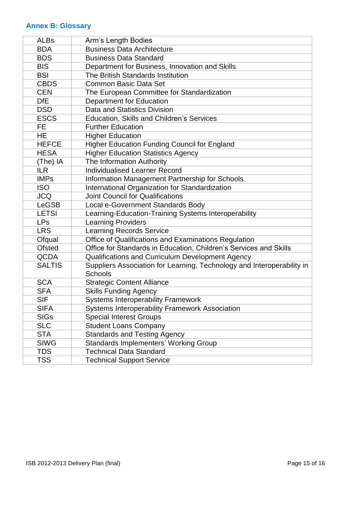# <span id="page-14-0"></span>**Annex B: Glossary**

| <b>ALBs</b>   | Arm's Length Bodies                                                    |
|---------------|------------------------------------------------------------------------|
| <b>BDA</b>    | <b>Business Data Architecture</b>                                      |
| <b>BDS</b>    | <b>Business Data Standard</b>                                          |
| <b>BIS</b>    | Department for Business, Innovation and Skills                         |
| <b>BSI</b>    | The British Standards Institution                                      |
| <b>CBDS</b>   | <b>Common Basic Data Set</b>                                           |
| <b>CEN</b>    | The European Committee for Standardization                             |
| <b>DfE</b>    | <b>Department for Education</b>                                        |
| <b>DSD</b>    | Data and Statistics Division                                           |
| <b>ESCS</b>   | <b>Education, Skills and Children's Services</b>                       |
| <b>FE</b>     | <b>Further Education</b>                                               |
| <b>HE</b>     | <b>Higher Education</b>                                                |
| <b>HEFCE</b>  | <b>Higher Education Funding Council for England</b>                    |
| <b>HESA</b>   | <b>Higher Education Statistics Agency</b>                              |
| (The) IA      | The Information Authority                                              |
| <b>ILR</b>    | <b>Individualised Learner Record</b>                                   |
| <b>IMPs</b>   | Information Management Partnership for Schools                         |
| <b>ISO</b>    | International Organization for Standardization                         |
| <b>JCQ</b>    | <b>Joint Council for Qualifications</b>                                |
| <b>LeGSB</b>  | Local e-Government Standards Body                                      |
| <b>LETSI</b>  | Learning-Education-Training Systems Interoperability                   |
| <b>LPs</b>    | <b>Learning Providers</b>                                              |
| <b>LRS</b>    | <b>Learning Records Service</b>                                        |
| Ofqual        | Office of Qualifications and Examinations Regulation                   |
| <b>Ofsted</b> | Office for Standards in Education, Children's Services and Skills      |
| <b>QCDA</b>   | Qualifications and Curriculum Development Agency                       |
| <b>SALTIS</b> | Suppliers Association for Learning, Technology and Interoperability in |
|               | <b>Schools</b>                                                         |
| <b>SCA</b>    | <b>Strategic Content Alliance</b>                                      |
| <b>SFA</b>    | <b>Skills Funding Agency</b>                                           |
| <b>SIF</b>    | <b>Systems Interoperability Framework</b>                              |
| SIFA          | <b>Systems Interoperability Framework Association</b>                  |
| <b>SIGs</b>   | <b>Special Interest Groups</b>                                         |
| <b>SLC</b>    | <b>Student Loans Company</b>                                           |
| <b>STA</b>    | <b>Standards and Testing Agency</b>                                    |
| <b>SIWG</b>   | <b>Standards Implementers' Working Group</b>                           |
| <b>TDS</b>    | <b>Technical Data Standard</b>                                         |
| <b>TSS</b>    | <b>Technical Support Service</b>                                       |